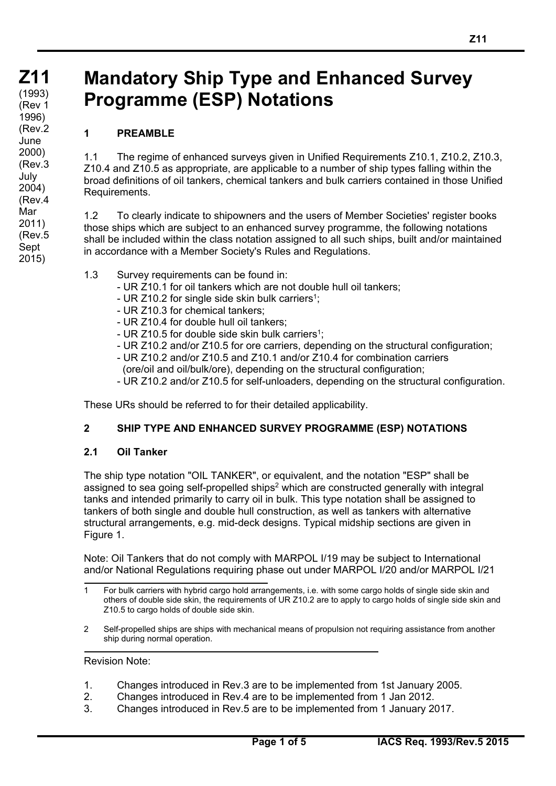# **Mandatory Ship Type and Enhanced Survey Programme (ESP) Notations**

# **1 PREAMBLE**

1.1 The regime of enhanced surveys given in Unified Requirements Z10.1, Z10.2, Z10.3, Z10.4 and Z10.5 as appropriate, are applicable to a number of ship types falling within the broad definitions of oil tankers, chemical tankers and bulk carriers contained in those Unified Requirements.

1.2 To clearly indicate to shipowners and the users of Member Societies' register books those ships which are subject to an enhanced survey programme, the following notations shall be included within the class notation assigned to all such ships, built and/or maintained in accordance with a Member Society's Rules and Regulations.

- 1.3 Survey requirements can be found in:
	- UR Z10.1 for oil tankers which are not double hull oil tankers;
	- UR Z10.2 for single side skin bulk carriers<sup>1</sup>;
	- UR Z10.3 for chemical tankers;
	- UR Z10.4 for double hull oil tankers;
	- UR Z10.5 for double side skin bulk carriers<sup>1</sup>:
	- UR Z10.2 and/or Z10.5 for ore carriers, depending on the structural configuration;
	- UR Z10.2 and/or Z10.5 and Z10.1 and/or Z10.4 for combination carriers (ore/oil and oil/bulk/ore), depending on the structural configuration;
	- UR Z10.2 and/or Z10.5 for self-unloaders, depending on the structural configuration.

These URs should be referred to for their detailed applicability.

#### **2 SHIP TYPE AND ENHANCED SURVEY PROGRAMME (ESP) NOTATIONS**

#### **2.1 Oil Tanker**

The ship type notation "OIL TANKER", or equivalent, and the notation "ESP" shall be assigned to sea going self-propelled ships<sup>2</sup> which are constructed generally with integral tanks and intended primarily to carry oil in bulk. This type notation shall be assigned to tankers of both single and double hull construction, as well as tankers with alternative structural arrangements, e.g. mid-deck designs. Typical midship sections are given in Figure 1.

Note: Oil Tankers that do not comply with MARPOL I/19 may be subject to International and/or National Regulations requiring phase out under MARPOL I/20 and/or MARPOL I/21

2 Self-propelled ships are ships with mechanical means of propulsion not requiring assistance from another ship during normal operation.

#### Revision Note:

 $\overline{a}$ 

- 1. Changes introduced in Rev.3 are to be implemented from 1st January 2005.
- 2. Changes introduced in Rev.4 are to be implemented from 1 Jan 2012.
- 3. Changes introduced in Rev.5 are to be implemented from 1 January 2017.

<sup>1</sup> For bulk carriers with hybrid cargo hold arrangements, i.e. with some cargo holds of single side skin and others of double side skin, the requirements of UR Z10.2 are to apply to cargo holds of single side skin and Z10.5 to cargo holds of double side skin.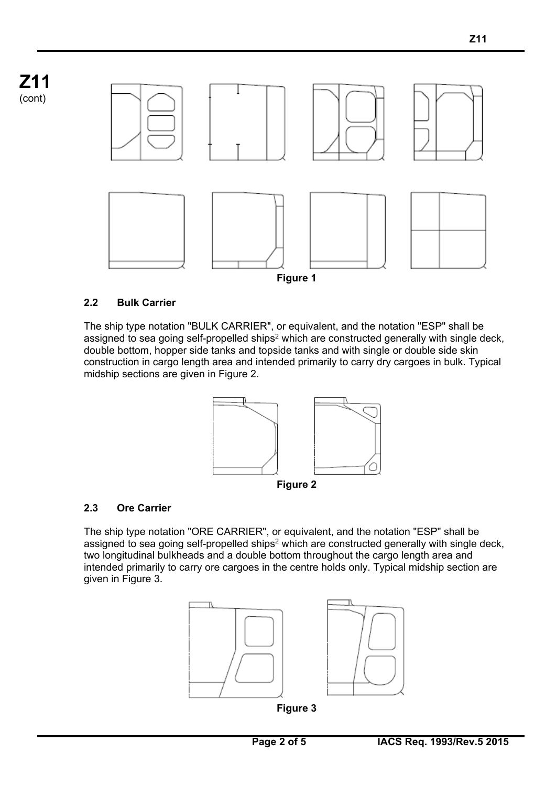**Z11**  (cont)



## **2.2 Bulk Carrier**

The ship type notation "BULK CARRIER", or equivalent, and the notation "ESP" shall be assigned to sea going self-propelled ships<sup>2</sup> which are constructed generally with single deck, double bottom, hopper side tanks and topside tanks and with single or double side skin construction in cargo length area and intended primarily to carry dry cargoes in bulk. Typical midship sections are given in Figure 2.



## **2.3 Ore Carrier**

 $\overline{a}$ 

The ship type notation "ORE CARRIER", or equivalent, and the notation "ESP" shall be assigned to sea going self-propelled ships<sup>2</sup> which are constructed generally with single deck, two longitudinal bulkheads and a double bottom throughout the cargo length area and intended primarily to carry ore cargoes in the centre holds only. Typical midship section are given in Figure 3.





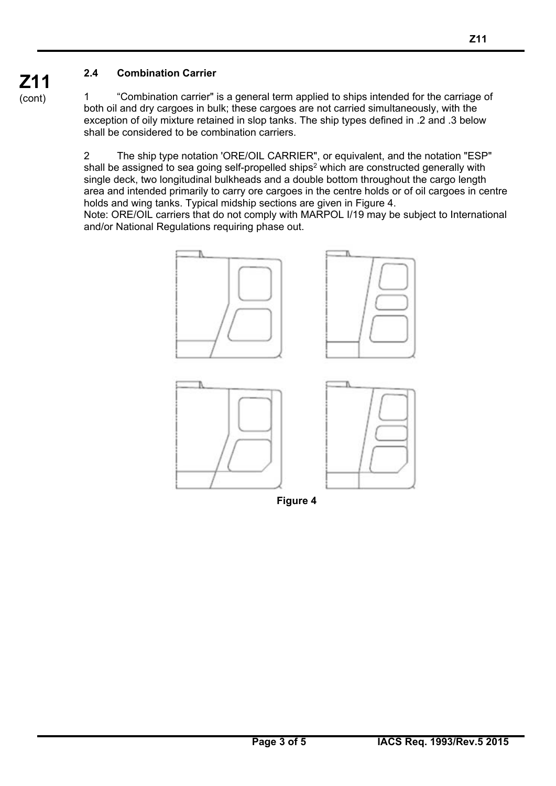# **2.4 Combination Carrier**

1 "Combination carrier" is a general term applied to ships intended for the carriage of both oil and dry cargoes in bulk; these cargoes are not carried simultaneously, with the exception of oily mixture retained in slop tanks. The ship types defined in .2 and .3 below shall be considered to be combination carriers.

2 The ship type notation 'ORE/OIL CARRIER", or equivalent, and the notation "ESP" shall be assigned to sea going self-propelled ships<sup>2</sup> which are constructed generally with single deck, two longitudinal bulkheads and a double bottom throughout the cargo length area and intended primarily to carry ore cargoes in the centre holds or of oil cargoes in centre holds and wing tanks. Typical midship sections are given in Figure 4.

Note: ORE/OIL carriers that do not comply with MARPOL I/19 may be subject to International and/or National Regulations requiring phase out.



**Figure 4** 

**Z11**  (cont)

 $\overline{a}$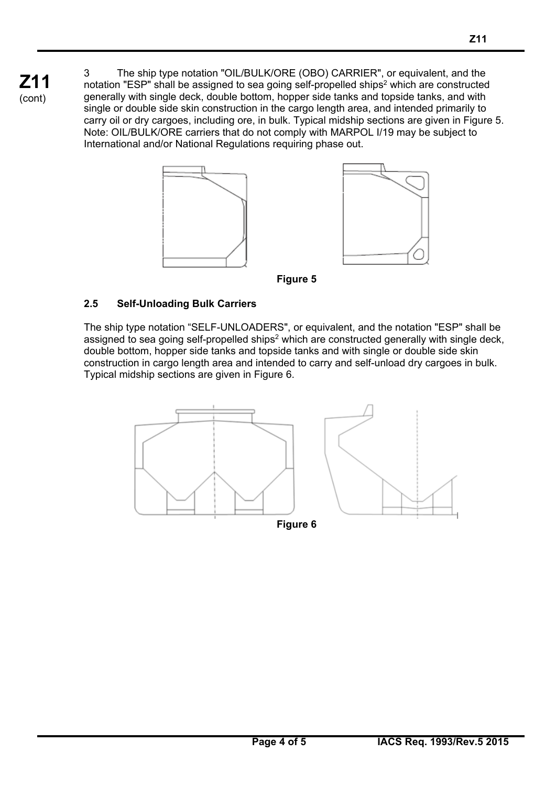3 The ship type notation "OIL/BULK/ORE (OBO) CARRIER", or equivalent, and the notation "ESP" shall be assigned to sea going self-propelled ships<sup>2</sup> which are constructed generally with single deck, double bottom, hopper side tanks and topside tanks, and with single or double side skin construction in the cargo length area, and intended primarily to carry oil or dry cargoes, including ore, in bulk. Typical midship sections are given in Figure 5. Note: OIL/BULK/ORE carriers that do not comply with MARPOL I/19 may be subject to International and/or National Regulations requiring phase out.





**Figure 5** 

# **2.5 Self-Unloading Bulk Carriers**

 $\overline{a}$ 

**Z11**  (cont)

> The ship type notation "SELF-UNLOADERS", or equivalent, and the notation "ESP" shall be assigned to sea going self-propelled ships<sup>2</sup> which are constructed generally with single deck, double bottom, hopper side tanks and topside tanks and with single or double side skin construction in cargo length area and intended to carry and self-unload dry cargoes in bulk. Typical midship sections are given in Figure 6.